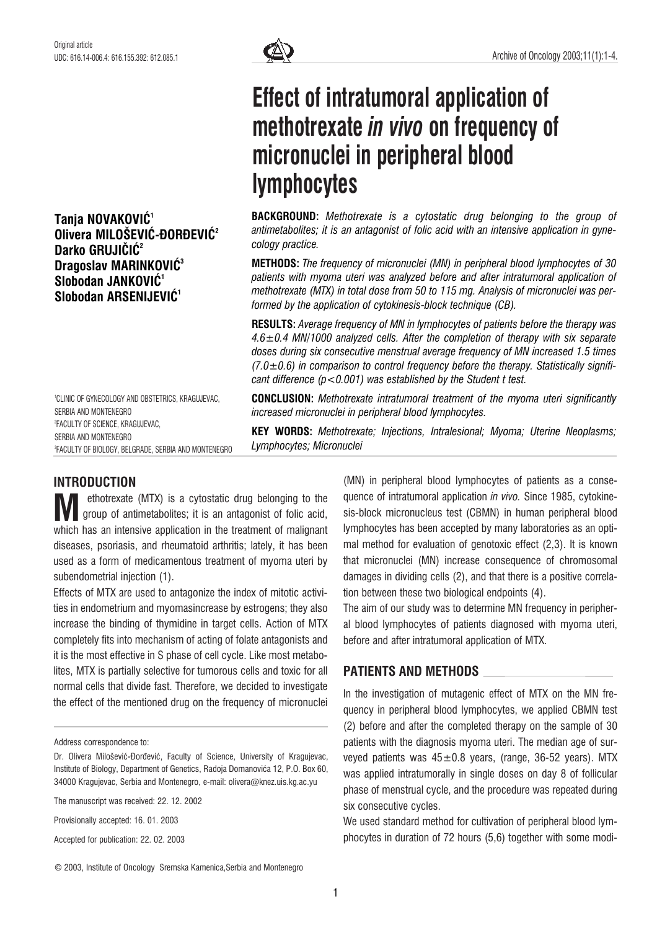Tanja NOVAKOVIĆ<sup>1</sup> Olivera MILOŠEVIĆ-ĐORĐEVIĆ<sup>2</sup> Darko GRUJIČIĆ<sup>2</sup> Dragoslav MARINKOVIČ<sup>3</sup> Slobodan JANKOVIĆ<sup>1</sup> Slobodan ARSENIJEVIĆ<sup>1</sup>

1 CLINIC OF GYNECOLOGY AND OBSTETRICS, KRAGUJEVAC, SERBIA AND MONTENEGRO 2 FACULTY OF SCIENCE, KRAGUJEVAC, SERBIA AND MONTENEGRO 3 FACULTY OF BIOLOGY, BELGRADE, SERBIA AND MONTENEGRO

# Effect of intratumoral application of methotrexate in vivo on frequency of micronuclei in peripheral blood lymphocytes

BACKGROUND: Methotrexate is a cytostatic drug belonging to the group of antimetabolites; it is an antagonist of folic acid with an intensive application in gynecology practice.

METHODS: The frequency of micronuclei (MN) in peripheral blood lymphocytes of 30 patients with myoma uteri was analyzed before and after intratumoral application of methotrexate (MTX) in total dose from 50 to 115 mg. Analysis of micronuclei was performed by the application of cytokinesis-block technique (CB).

RESULTS: Average frequency of MN in lymphocytes of patients before the therapy was  $4.6\pm0.4$  MN/1000 analyzed cells. After the completion of therapy with six separate doses during six consecutive menstrual average frequency of MN increased 1.5 times  $(7.0\pm0.6)$  in comparison to control frequency before the therapy. Statistically significant difference  $(p < 0.001)$  was established by the Student t test.

CONCLUSION: Methotrexate intratumoral treatment of the myoma uteri significantly increased micronuclei in peripheral blood lymphocytes.

KEY WORDS: Methotrexate; Injections, Intralesional; Myoma; Uterine Neoplasms; Lymphocytes; Micronuclei

## INTRODUCTION

ethotrexate (MTX) is a cytostatic drug belonging to the group of antimetabolites; it is an antagonist of folic acid, W ethotrexate (MTX) is a cytostatic drug belonging to the group of antimetabolites; it is an antagonist of folic acid, which has an intensive application in the treatment of malignant diseases, psoriasis, and rheumatoid arthritis; lately, it has been used as a form of medicamentous treatment of myoma uteri by subendometrial injection (1).

Effects of MTX are used to antagonize the index of mitotic activities in endometrium and myomasincrease by estrogens; they also increase the binding of thymidine in target cells. Action of MTX completely fits into mechanism of acting of folate antagonists and it is the most effective in S phase of cell cycle. Like most metabolites, MTX is partially selective for tumorous cells and toxic for all normal cells that divide fast. Therefore, we decided to investigate the effect of the mentioned drug on the frequency of micronuclei

Address correspondence to:

The manuscript was received: 22. 12. 2002

Provisionally accepted: 16. 01. 2003

Accepted for publication: 22. 02. 2003

© 2003, Institute of Oncology Sremska Kamenica,Serbia and Montenegro

(MN) in peripheral blood lymphocytes of patients as a consequence of intratumoral application *in vivo.* Since 1985, cytokinesis-block micronucleus test (CBMN) in human peripheral blood lymphocytes has been accepted by many laboratories as an optimal method for evaluation of genotoxic effect (2,3). It is known that micronuclei (MN) increase consequence of chromosomal damages in dividing cells (2), and that there is a positive correlation between these two biological endpoints (4).

The aim of our study was to determine MN frequency in peripheral blood lymphocytes of patients diagnosed with myoma uteri, before and after intratumoral application of MTX.

## PATIENTS AND METHODS

In the investigation of mutagenic effect of MTX on the MN frequency in peripheral blood lymphocytes, we applied CBMN test (2) before and after the completed therapy on the sample of 30 patients with the diagnosis myoma uteri. The median age of surveyed patients was  $45\pm0.8$  years, (range, 36-52 years). MTX was applied intratumorally in single doses on day 8 of follicular phase of menstrual cycle, and the procedure was repeated during six consecutive cycles.

We used standard method for cultivation of peripheral blood lymphocytes in duration of 72 hours (5,6) together with some modi-

Dr. Olivera Milošević-Đorđević, Faculty of Science, University of Kragujevac, Institute of Biology, Department of Genetics, Radoja Domanovića 12, P.O. Box 60, 34000 Kragujevac, Serbia and Montenegro, e-mail: olivera@knez.uis.kg.ac.yu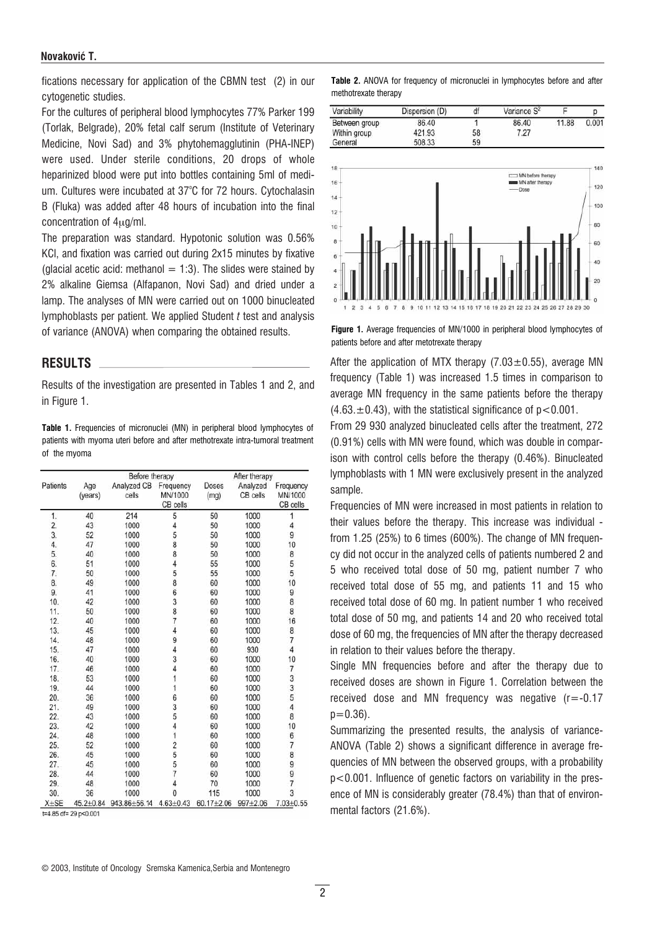#### Novaković T.

fications necessary for application of the CBMN test (2) in our cytogenetic studies.

For the cultures of peripheral blood lymphocytes 77% Parker 199 (Torlak, Belgrade), 20% fetal calf serum (Institute of Veterinary Medicine, Novi Sad) and 3% phytohemagglutinin (PHA-INEP) were used. Under sterile conditions, 20 drops of whole heparinized blood were put into bottles containing 5ml of medium. Cultures were incubated at 37°C for 72 hours. Cytochalasin B (Fluka) was added after 48 hours of incubation into the final concentration of  $4<sub>u</sub>q/ml$ .

The preparation was standard. Hypotonic solution was 0.56% KCl, and fixation was carried out during 2x15 minutes by fixative (glacial acetic acid: methanol  $= 1:3$ ). The slides were stained by 2% alkaline Giemsa (Alfapanon, Novi Sad) and dried under a lamp. The analyses of MN were carried out on 1000 binucleated lymphoblasts per patient. We applied Student  $t$  test and analysis of variance (ANOVA) when comparing the obtained results.

#### RESULTS

Results of the investigation are presented in Tables 1 and 2, and in Figure 1.

Table 1. Frequencies of micronuclei (MN) in peripheral blood lymphocytes of patients with myoma uteri before and after methotrexate intra-tumoral treatment of the myoma

| Patients |                | Before therapy       |                                  | After therapy        |                      |                                  |  |
|----------|----------------|----------------------|----------------------------------|----------------------|----------------------|----------------------------------|--|
|          | Age<br>(years) | Analyzed CB<br>cells | Frequency<br>MN/1000<br>CB cells | <b>Doses</b><br>(mg) | Analyzed<br>CB cells | Frequency<br>MN/1000<br>CB cells |  |
| 1.       | 40             | 214                  | 5                                | 50                   | 1000                 | 1                                |  |
| 2.       | 43             | 1000                 | $\overline{4}$                   | 50                   | 1000                 | 4                                |  |
| 3.       | 52             | 1000                 | 5                                | 50                   | 1000                 | 9                                |  |
| 4.       | 47             | 1000                 | 8                                | 50                   | 1000                 | 10                               |  |
| 5.       | 40             | 1000                 | 8                                | 50                   | 1000                 | 8                                |  |
| 6.       | 51             | 1000                 | $\overline{4}$                   | 55                   | 1000                 | 5                                |  |
| 7.       | 50             | 1000                 | 5                                | 55                   | 1000                 | 5                                |  |
| 8.       | 49             | 1000                 | 8                                | 60                   | 1000                 | 10                               |  |
| 9.       | 41             | 1000                 | 6                                | 60                   | 1000                 | 9                                |  |
| 10.      | 42             | 1000                 | 3                                | 60                   | 1000                 | 8                                |  |
| 11.      | 50             | 1000                 | 8                                | 60                   | 1000                 | 8                                |  |
| 12.      | 40             | 1000                 | $\overline{7}$                   | 60                   | 1000                 | 16                               |  |
| 13.      | 45             | 1000                 | $\overline{4}$                   | 60                   | 1000                 | 8                                |  |
| 14.      | 48             | 1000                 | 9                                | 60                   | 1000                 | 7                                |  |
| 15.      | 47             | 1000                 | 4                                | 60                   | 930                  | $\overline{4}$                   |  |
| 16.      | 40             | 1000                 | 3                                | 60                   | 1000                 | 10                               |  |
| 17.      | 46             | 1000                 | 4                                | 60                   | 1000                 | 7                                |  |
| 18.      | 53             | 1000                 | 1                                | 60                   | 1000                 | 3                                |  |
| 19.      | 44             | 1000                 | 1                                | 60                   | 1000                 |                                  |  |
| 20.      | 36             | 1000                 | 6                                | 60                   | 1000                 | $\frac{3}{5}$                    |  |
| 21.      | 49             | 1000                 | 3                                | 60                   | 1000                 | 4                                |  |
| 22.      | 43             | 1000                 | 5                                | 60                   | 1000                 | 8                                |  |
| 23.      | 42             | 1000                 | 4                                | 60                   | 1000                 | 10                               |  |
| 24.      | 48             | 1000                 | 1                                | 60                   | 1000                 |                                  |  |
| 25.      | 52             | 1000                 | $\overline{c}$                   | 60                   | 1000                 | $\frac{6}{7}$                    |  |
| 26.      | 45             | 1000                 | 5                                | 60                   | 1000                 | 8                                |  |
| 27.      | 45             | 1000                 | 5                                | 60                   | 1000                 |                                  |  |
| 28.      | 44             | 1000                 | $\overline{7}$                   | 60                   | 1000                 | 9<br>9                           |  |
| 29.      | 48             | 1000                 | $\overline{4}$                   | 70                   | 1000                 | 7                                |  |
| 30.      | 36             | 1000                 | $\overline{0}$                   | 115                  | 1000                 | 3                                |  |
| $X + SE$ | 45.2+0.84      | 943.86±56.14         | $4.63 \pm 0.43$                  | 60.17±2.06           | 997±2.06             | $7.03 \pm 0.55$                  |  |

 $t=4.85$  df= 29  $p<0.001$ 

Table 2. ANOVA for frequency of micronuclei in lymphocytes before and after methotrexate therapy

| Variability   | Dispersion (D) | df | Variance S <sup>2</sup> |       |       |
|---------------|----------------|----|-------------------------|-------|-------|
| Between group | 86.40          |    | 86.40                   | 11.88 | 0.001 |
| Within group  | 421.93         | 58 | 7.27                    |       |       |
| General       | 508.33         | 59 |                         |       |       |



Figure 1. Average frequencies of MN/1000 in peripheral blood lymphocytes of patients before and after metotrexate therapy

After the application of MTX therapy (7.03 $\pm$ 0.55), average MN frequency (Table 1) was increased 1.5 times in comparison to average MN frequency in the same patients before the therapy  $(4.63, \pm 0.43)$ , with the statistical significance of  $p < 0.001$ .

From 29 930 analyzed binucleated cells after the treatment, 272 (0.91%) cells with MN were found, which was double in comparison with control cells before the therapy (0.46%). Binucleated lymphoblasts with 1 MN were exclusively present in the analyzed sample.

Frequencies of MN were increased in most patients in relation to their values before the therapy. This increase was individual from 1.25 (25%) to 6 times (600%). The change of MN frequency did not occur in the analyzed cells of patients numbered 2 and 5 who received total dose of 50 mg, patient number 7 who received total dose of 55 mg, and patients 11 and 15 who received total dose of 60 mg. In patient number 1 who received total dose of 50 mg, and patients 14 and 20 who received total dose of 60 mg, the frequencies of MN after the therapy decreased in relation to their values before the therapy.

Single MN frequencies before and after the therapy due to received doses are shown in Figure 1. Correlation between the received dose and MN frequency was negative  $(r=-0.17)$  $p=0.36$ ).

Summarizing the presented results, the analysis of variance-ANOVA (Table 2) shows a significant difference in average frequencies of MN between the observed groups, with a probability p<0.001. Influence of genetic factors on variability in the presence of MN is considerably greater (78.4%) than that of environmental factors (21.6%).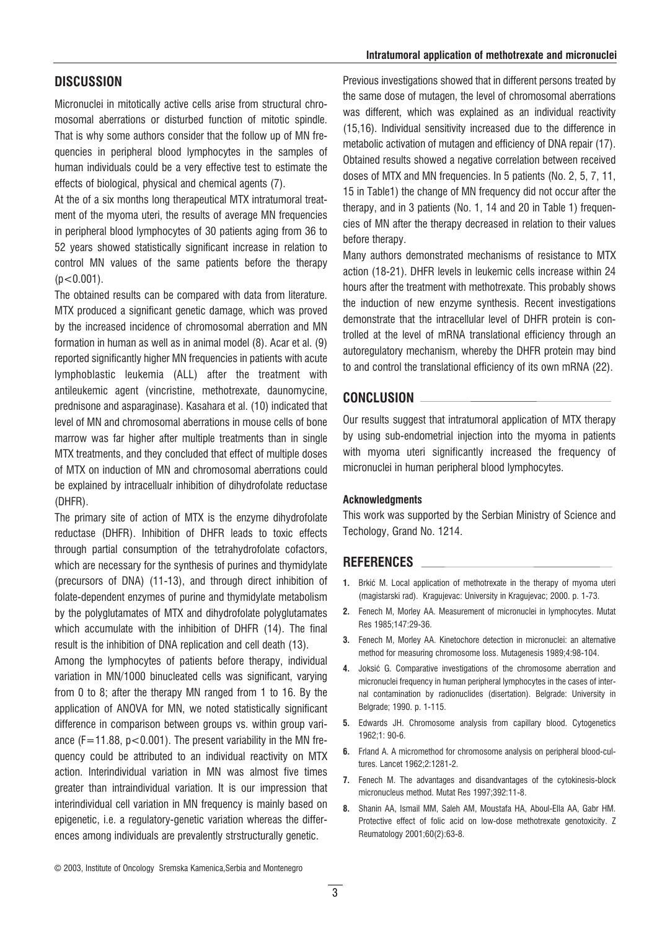## **DISCUSSION**

Micronuclei in mitotically active cells arise from structural chromosomal aberrations or disturbed function of mitotic spindle. That is why some authors consider that the follow up of MN frequencies in peripheral blood lymphocytes in the samples of human individuals could be a very effective test to estimate the effects of biological, physical and chemical agents (7).

At the of a six months long therapeutical MTX intratumoral treatment of the myoma uteri, the results of average MN frequencies in peripheral blood lymphocytes of 30 patients aging from 36 to 52 years showed statistically significant increase in relation to control MN values of the same patients before the therapy  $(p<0.001)$ .

The obtained results can be compared with data from literature. MTX produced a significant genetic damage, which was proved by the increased incidence of chromosomal aberration and MN formation in human as well as in animal model (8). Acar et al. (9) reported significantly higher MN frequencies in patients with acute lymphoblastic leukemia (ALL) after the treatment with antileukemic agent (vincristine, methotrexate, daunomycine, prednisone and asparaginase). Kasahara et al. (10) indicated that level of MN and chromosomal aberrations in mouse cells of bone marrow was far higher after multiple treatments than in single MTX treatments, and they concluded that effect of multiple doses of MTX on induction of MN and chromosomal aberrations could be explained by intracellualr inhibition of dihydrofolate reductase (DHFR).

The primary site of action of MTX is the enzyme dihydrofolate reductase (DHFR). Inhibition of DHFR leads to toxic effects through partial consumption of the tetrahydrofolate cofactors, which are necessary for the synthesis of purines and thymidylate (precursors of DNA) (11-13), and through direct inhibition of folate-dependent enzymes of purine and thymidylate metabolism by the polyglutamates of MTX and dihydrofolate polyglutamates which accumulate with the inhibition of DHFR (14). The final result is the inhibition of DNA replication and cell death (13).

Among the lymphocytes of patients before therapy, individual variation in MN/1000 binucleated cells was significant, varying from 0 to 8; after the therapy MN ranged from 1 to 16. By the application of ANOVA for MN, we noted statistically significant difference in comparison between groups vs. within group variance  $(F=11.88, p<0.001)$ . The present variability in the MN frequency could be attributed to an individual reactivity on MTX action. Interindividual variation in MN was almost five times greater than intraindividual variation. It is our impression that interindividual cell variation in MN frequency is mainly based on epigenetic, i.e. a regulatory-genetic variation whereas the differences among individuals are prevalently strstructurally genetic.

Previous investigations showed that in different persons treated by the same dose of mutagen, the level of chromosomal aberrations was different, which was explained as an individual reactivity (15,16). Individual sensitivity increased due to the difference in metabolic activation of mutagen and efficiency of DNA repair (17). Obtained results showed a negative correlation between received doses of MTX and MN frequencies. In 5 patients (No. 2, 5, 7, 11, 15 in Table1) the change of MN frequency did not occur after the therapy, and in 3 patients (No. 1, 14 and 20 in Table 1) frequencies of MN after the therapy decreased in relation to their values before therapy.

Many authors demonstrated mechanisms of resistance to MTX action (18-21). DHFR levels in leukemic cells increase within 24 hours after the treatment with methotrexate. This probably shows the induction of new enzyme synthesis. Recent investigations demonstrate that the intracellular level of DHFR protein is controlled at the level of mRNA translational efficiency through an autoregulatory mechanism, whereby the DHFR protein may bind to and control the translational efficiency of its own mRNA (22).

#### CONCLUSION

Our results suggest that intratumoral application of MTX therapy by using sub-endometrial injection into the myoma in patients with myoma uteri significantly increased the frequency of micronuclei in human peripheral blood lymphocytes.

#### Acknowledgments

This work was supported by the Serbian Ministry of Science and Techology, Grand No. 1214.

## REFERENCES

- 1. Brkić M. Local application of methotrexate in the therapy of myoma uteri (magistarski rad). Kragujevac: University in Kragujevac; 2000. p. 1-73.
- 2. Fenech M, Morley AA. Measurement of micronuclei in lymphocytes. Mutat Res 1985;147:29-36.
- 3. Fenech M, Morley AA. Kinetochore detection in micronuclei: an alternative method for measuring chromosome loss. Mutagenesis 1989;4:98-104.
- 4. Joksić G. Comparative investigations of the chromosome aberration and micronuclei frequency in human peripheral lymphocytes in the cases of internal contamination by radionuclides (disertation). Belgrade: University in Belgrade; 1990. p. 1-115.
- 5. Edwards JH. Chromosome analysis from capillary blood. Cytogenetics 1962;1: 90-6.
- 6. Frland A. A micromethod for chromosome analysis on peripheral blood-cultures. Lancet 1962;2:1281-2.
- 7. Fenech M. The advantages and disandvantages of the cytokinesis-block micronucleus method. Mutat Res 1997;392:11-8.
- 8. Shanin AA, Ismail MM, Saleh AM, Moustafa HA, Aboul-Ella AA, Gabr HM. Protective effect of folic acid on low-dose methotrexate genotoxicity. Z Reumatology 2001;60(2):63-8.

© 2003, Institute of Oncology Sremska Kamenica,Serbia and Montenegro